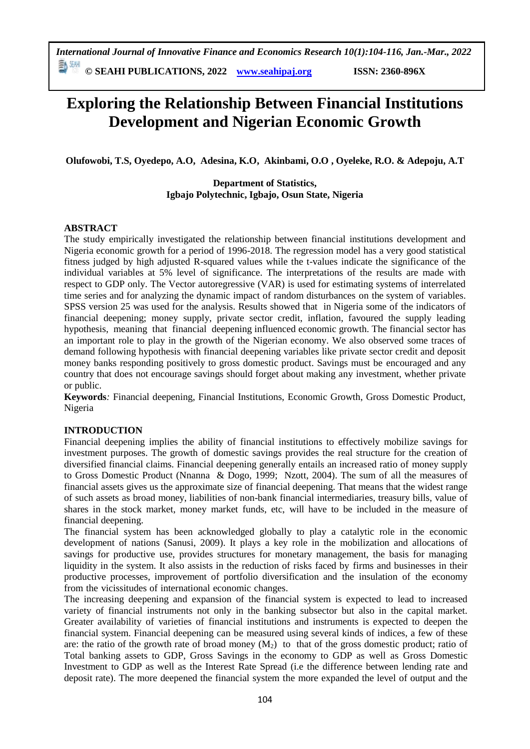# **Exploring the Relationship Between Financial Institutions Development and Nigerian Economic Growth**

**Olufowobi, T.S, Oyedepo, A.O, Adesina, K.O, Akinbami, O.O , Oyeleke, R.O. & Adepoju, A.T**

**Department of Statistics, Igbajo Polytechnic, Igbajo, Osun State, Nigeria** 

### **ABSTRACT**

The study empirically investigated the relationship between financial institutions development and Nigeria economic growth for a period of 1996-2018. The regression model has a very good statistical fitness judged by high adjusted R-squared values while the t-values indicate the significance of the individual variables at 5% level of significance. The interpretations of the results are made with respect to GDP only. The Vector autoregressive (VAR) is used for estimating systems of interrelated time series and for analyzing the dynamic impact of random disturbances on the system of variables. SPSS version 25 was used for the analysis. Results showed that in Nigeria some of the indicators of financial deepening; money supply, private sector credit, inflation, favoured the supply leading hypothesis, meaning that financial deepening influenced economic growth. The financial sector has an important role to play in the growth of the Nigerian economy. We also observed some traces of demand following hypothesis with financial deepening variables like private sector credit and deposit money banks responding positively to gross domestic product. Savings must be encouraged and any country that does not encourage savings should forget about making any investment, whether private or public.

**Keywords***:* Financial deepening, Financial Institutions, Economic Growth, Gross Domestic Product, Nigeria

### **INTRODUCTION**

Financial deepening implies the ability of financial institutions to effectively mobilize savings for investment purposes. The growth of domestic savings provides the real structure for the creation of diversified financial claims. Financial deepening generally entails an increased ratio of money supply to Gross Domestic Product (Nnanna & Dogo, 1999; Nzott, 2004). The sum of all the measures of financial assets gives us the approximate size of financial deepening. That means that the widest range of such assets as broad money, liabilities of non-bank financial intermediaries, treasury bills, value of shares in the stock market, money market funds, etc, will have to be included in the measure of financial deepening.

The financial system has been acknowledged globally to play a catalytic role in the economic development of nations (Sanusi, 2009). It plays a key role in the mobilization and allocations of savings for productive use, provides structures for monetary management, the basis for managing liquidity in the system. It also assists in the reduction of risks faced by firms and businesses in their productive processes, improvement of portfolio diversification and the insulation of the economy from the vicissitudes of international economic changes.

The increasing deepening and expansion of the financial system is expected to lead to increased variety of financial instruments not only in the banking subsector but also in the capital market. Greater availability of varieties of financial institutions and instruments is expected to deepen the financial system. Financial deepening can be measured using several kinds of indices, a few of these are: the ratio of the growth rate of broad money  $(M_2)$  to that of the gross domestic product; ratio of Total banking assets to GDP, Gross Savings in the economy to GDP as well as Gross Domestic Investment to GDP as well as the Interest Rate Spread (i.e the difference between lending rate and deposit rate). The more deepened the financial system the more expanded the level of output and the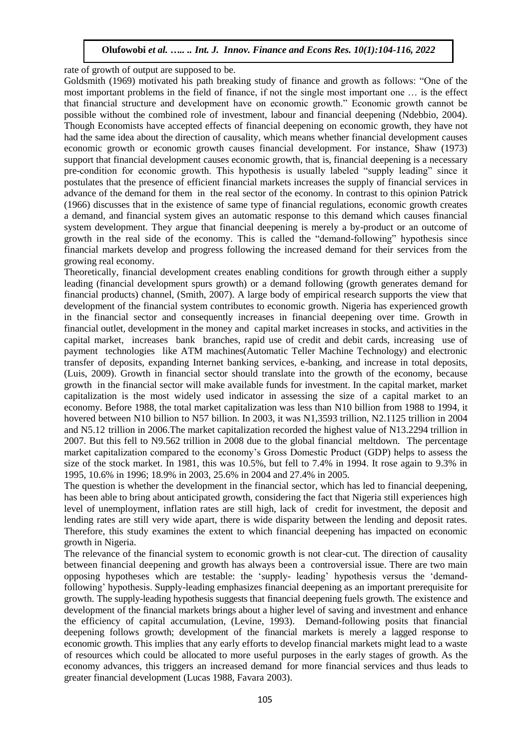rate of growth of output are supposed to be.

Goldsmith (1969) motivated his path breaking study of finance and growth as follows: "One of the most important problems in the field of finance, if not the single most important one … is the effect that financial structure and development have on economic growth." Economic growth cannot be possible without the combined role of investment, labour and financial deepening (Ndebbio, 2004). Though Economists have accepted effects of financial deepening on economic growth, they have not had the same idea about the direction of causality, which means whether financial development causes economic growth or economic growth causes financial development. For instance, Shaw (1973) support that financial development causes economic growth, that is, financial deepening is a necessary pre-condition for economic growth. This hypothesis is usually labeled "supply leading" since it postulates that the presence of efficient financial markets increases the supply of financial services in advance of the demand for them in the real sector of the economy. In contrast to this opinion Patrick (1966) discusses that in the existence of same type of financial regulations, economic growth creates a demand, and financial system gives an automatic response to this demand which causes financial system development. They argue that financial deepening is merely a by-product or an outcome of growth in the real side of the economy. This is called the "demand-following" hypothesis since financial markets develop and progress following the increased demand for their services from the growing real economy.

Theoretically, financial development creates enabling conditions for growth through either a supply leading (financial development spurs growth) or a demand following (growth generates demand for financial products) channel, (Smith, 2007). A large body of empirical research supports the view that development of the financial system contributes to economic growth. Nigeria has experienced growth in the financial sector and consequently increases in financial deepening over time. Growth in financial outlet, development in the money and capital market increases in stocks, and activities in the capital market, increases bank branches, rapid use of credit and debit cards, increasing use of payment technologies like ATM machines(Automatic Teller Machine Technology) and electronic transfer of deposits, expanding Internet banking services, e-banking, and increase in total deposits, (Luis, 2009). Growth in financial sector should translate into the growth of the economy, because growth in the financial sector will make available funds for investment. In the capital market, market capitalization is the most widely used indicator in assessing the size of a capital market to an economy. Before 1988, the total market capitalization was less than N10 billion from 1988 to 1994, it hovered between N10 billion to N57 billion. In 2003, it was N1,3593 trillion, N2.1125 trillion in 2004 and N5.12 trillion in 2006.The market capitalization recorded the highest value of N13.2294 trillion in 2007. But this fell to N9.562 trillion in 2008 due to the global financial meltdown. The percentage market capitalization compared to the economy's Gross Domestic Product (GDP) helps to assess the size of the stock market. In 1981, this was 10.5%, but fell to 7.4% in 1994. It rose again to 9.3% in 1995, 10.6% in 1996; 18.9% in 2003, 25.6% in 2004 and 27.4% in 2005.

The question is whether the development in the financial sector, which has led to financial deepening, has been able to bring about anticipated growth, considering the fact that Nigeria still experiences high level of unemployment, inflation rates are still high, lack of credit for investment, the deposit and lending rates are still very wide apart, there is wide disparity between the lending and deposit rates. Therefore, this study examines the extent to which financial deepening has impacted on economic growth in Nigeria.

The relevance of the financial system to economic growth is not clear-cut. The direction of causality between financial deepening and growth has always been a controversial issue. There are two main opposing hypotheses which are testable: the 'supply- leading' hypothesis versus the 'demandfollowing' hypothesis. Supply-leading emphasizes financial deepening as an important prerequisite for growth. The supply-leading hypothesis suggests that financial deepening fuels growth. The existence and development of the financial markets brings about a higher level of saving and investment and enhance the efficiency of capital accumulation, (Levine, 1993). Demand-following posits that financial deepening follows growth; development of the financial markets is merely a lagged response to economic growth. This implies that any early efforts to develop financial markets might lead to a waste of resources which could be allocated to more useful purposes in the early stages of growth. As the economy advances, this triggers an increased demand for more financial services and thus leads to greater financial development (Lucas 1988, Favara 2003).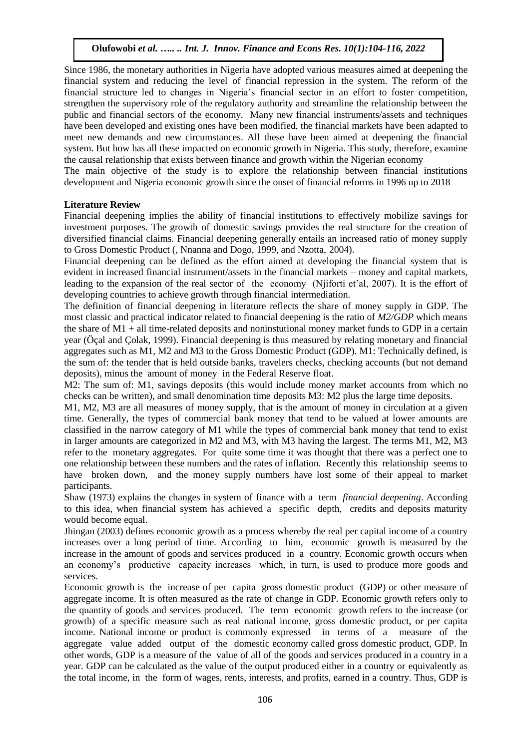Since 1986, the monetary authorities in Nigeria have adopted various measures aimed at deepening the financial system and reducing the level of financial repression in the system. The reform of the financial structure led to changes in Nigeria's financial sector in an effort to foster competition, strengthen the supervisory role of the regulatory authority and streamline the relationship between the public and financial sectors of the economy. Many new financial instruments/assets and techniques have been developed and existing ones have been modified, the financial markets have been adapted to meet new demands and new circumstances. All these have been aimed at deepening the financial system. But how has all these impacted on economic growth in Nigeria. This study, therefore, examine the causal relationship that exists between finance and growth within the Nigerian economy

The main objective of the study is to explore the relationship between financial institutions development and Nigeria economic growth since the onset of financial reforms in 1996 up to 2018

#### **Literature Review**

Financial deepening implies the ability of financial institutions to effectively mobilize savings for investment purposes. The growth of domestic savings provides the real structure for the creation of diversified financial claims. Financial deepening generally entails an increased ratio of money supply to Gross Domestic Product (, Nnanna and Dogo, 1999, and Nzotta, 2004).

Financial deepening can be defined as the effort aimed at developing the financial system that is evident in increased financial instrument/assets in the financial markets – money and capital markets, leading to the expansion of the real sector of the economy (Njiforti et'al, 2007). It is the effort of developing countries to achieve growth through financial intermediation.

The definition of financial deepening in literature reflects the share of money supply in GDP. The most classic and practical indicator related to financial deepening is the ratio of *M2/GDP* which means the share of M1 + all time-related deposits and noninstutional money market funds to GDP in a certain year (Öçal and Çolak, 1999). Financial deepening is thus measured by relating monetary and financial aggregates such as M1, M2 and M3 to the Gross Domestic Product (GDP). M1: Technically defined, is the sum of: the tender that is held outside banks, travelers checks, checking accounts (but not demand deposits), minus the amount of money in the Federal Reserve float.

M2: The sum of: M1, savings deposits (this would include money market accounts from which no checks can be written), and small denomination time deposits M3: M2 plus the large time deposits.

M1, M2, M3 are all measures of money supply, that is the amount of money in circulation at a given time. Generally, the types of commercial bank money that tend to be valued at lower amounts are classified in the narrow category of M1 while the types of commercial bank money that tend to exist in larger amounts are categorized in M2 and M3, with M3 having the largest. The terms M1, M2, M3 refer to the monetary aggregates. For quite some time it was thought that there was a perfect one to one relationship between these numbers and the rates of inflation. Recently this relationship seems to have broken down, and the money supply numbers have lost some of their appeal to market participants.

Shaw (1973) explains the changes in system of finance with a term *financial deepening*. According to this idea, when financial system has achieved a specific depth, credits and deposits maturity would become equal.

Jhingan (2003) defines economic growth as a process whereby the real per capital income of a country increases over a long period of time. According to him, economic growth is measured by the increase in the amount of goods and services produced in a country. Economic growth occurs when an economy's productive capacity increases which, in turn, is used to produce more goods and services.

Economic growth is the increase of per capita gross domestic product (GDP) or other measure of aggregate income. It is often measured as the rate of change in GDP. Economic growth refers only to the quantity of goods and services produced. The term economic growth refers to the increase (or growth) of a specific measure such as real national income, gross domestic product, or per capita income. National income or product is commonly expressed in terms of a measure of the aggregate value added output of the domestic economy called gross domestic product, GDP. In other words, GDP is a measure of the value of all of the goods and services produced in a country in a year. GDP can be calculated as the value of the output produced either in a country or equivalently as the total income, in the form of wages, rents, interests, and profits, earned in a country. Thus, GDP is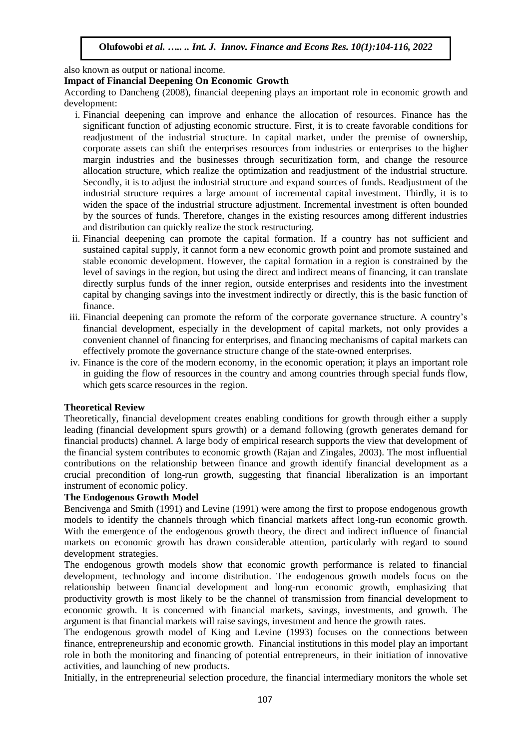also known as output or national income.

#### **Impact of Financial Deepening On Economic Growth**

According to Dancheng (2008), financial deepening plays an important role in economic growth and development:

- i. Financial deepening can improve and enhance the allocation of resources. Finance has the significant function of adjusting economic structure. First, it is to create favorable conditions for readjustment of the industrial structure. In capital market, under the premise of ownership, corporate assets can shift the enterprises resources from industries or enterprises to the higher margin industries and the businesses through securitization form, and change the resource allocation structure, which realize the optimization and readjustment of the industrial structure. Secondly, it is to adjust the industrial structure and expand sources of funds. Readjustment of the industrial structure requires a large amount of incremental capital investment. Thirdly, it is to widen the space of the industrial structure adjustment. Incremental investment is often bounded by the sources of funds. Therefore, changes in the existing resources among different industries and distribution can quickly realize the stock restructuring.
- ii. Financial deepening can promote the capital formation. If a country has not sufficient and sustained capital supply, it cannot form a new economic growth point and promote sustained and stable economic development. However, the capital formation in a region is constrained by the level of savings in the region, but using the direct and indirect means of financing, it can translate directly surplus funds of the inner region, outside enterprises and residents into the investment capital by changing savings into the investment indirectly or directly, this is the basic function of finance.
- iii. Financial deepening can promote the reform of the corporate governance structure. A country's financial development, especially in the development of capital markets, not only provides a convenient channel of financing for enterprises, and financing mechanisms of capital markets can effectively promote the governance structure change of the state-owned enterprises.
- iv. Finance is the core of the modern economy, in the economic operation; it plays an important role in guiding the flow of resources in the country and among countries through special funds flow, which gets scarce resources in the region.

#### **Theoretical Review**

Theoretically, financial development creates enabling conditions for growth through either a supply leading (financial development spurs growth) or a demand following (growth generates demand for financial products) channel. A large body of empirical research supports the view that development of the financial system contributes to economic growth (Rajan and Zingales, 2003). The most influential contributions on the relationship between finance and growth identify financial development as a crucial precondition of long-run growth, suggesting that financial liberalization is an important instrument of economic policy.

#### **The Endogenous Growth Model**

Bencivenga and Smith (1991) and Levine (1991) were among the first to propose endogenous growth models to identify the channels through which financial markets affect long-run economic growth. With the emergence of the endogenous growth theory, the direct and indirect influence of financial markets on economic growth has drawn considerable attention, particularly with regard to sound development strategies.

The endogenous growth models show that economic growth performance is related to financial development, technology and income distribution. The endogenous growth models focus on the relationship between financial development and long-run economic growth, emphasizing that productivity growth is most likely to be the channel of transmission from financial development to economic growth. It is concerned with financial markets, savings, investments, and growth. The argument is that financial markets will raise savings, investment and hence the growth rates.

The endogenous growth model of King and Levine (1993) focuses on the connections between finance, entrepreneurship and economic growth. Financial institutions in this model play an important role in both the monitoring and financing of potential entrepreneurs, in their initiation of innovative activities, and launching of new products.

Initially, in the entrepreneurial selection procedure, the financial intermediary monitors the whole set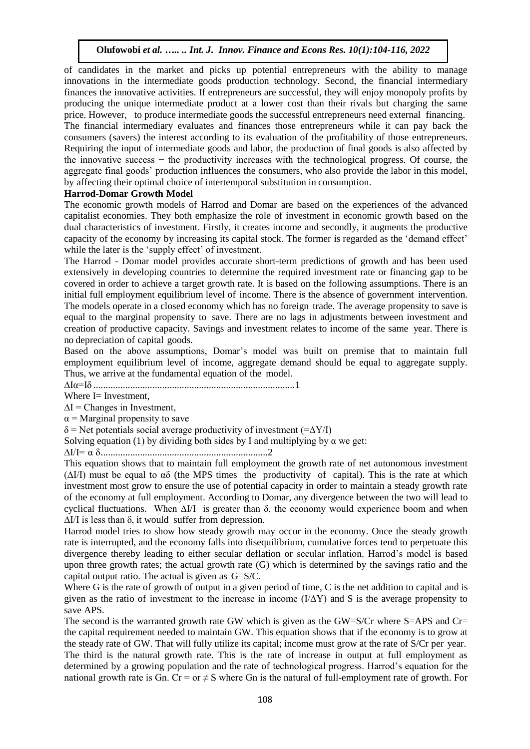of candidates in the market and picks up potential entrepreneurs with the ability to manage innovations in the intermediate goods production technology. Second, the financial intermediary finances the innovative activities. If entrepreneurs are successful, they will enjoy monopoly profits by producing the unique intermediate product at a lower cost than their rivals but charging the same price. However, to produce intermediate goods the successful entrepreneurs need external financing. The financial intermediary evaluates and finances those entrepreneurs while it can pay back the consumers (savers) the interest according to its evaluation of the profitability of those entrepreneurs. Requiring the input of intermediate goods and labor, the production of final goods is also affected by the innovative success − the productivity increases with the technological progress. Of course, the aggregate final goods' production influences the consumers, who also provide the labor in this model, by affecting their optimal choice of intertemporal substitution in consumption.

#### **Harrod-Domar Growth Model**

The economic growth models of Harrod and Domar are based on the experiences of the advanced capitalist economies. They both emphasize the role of investment in economic growth based on the dual characteristics of investment. Firstly, it creates income and secondly, it augments the productive capacity of the economy by increasing its capital stock. The former is regarded as the 'demand effect' while the later is the 'supply effect' of investment.

The Harrod - Domar model provides accurate short-term predictions of growth and has been used extensively in developing countries to determine the required investment rate or financing gap to be covered in order to achieve a target growth rate. It is based on the following assumptions. There is an initial full employment equilibrium level of income. There is the absence of government intervention. The models operate in a closed economy which has no foreign trade. The average propensity to save is equal to the marginal propensity to save. There are no lags in adjustments between investment and creation of productive capacity. Savings and investment relates to income of the same year. There is no depreciation of capital goods.

Based on the above assumptions, Domar's model was built on premise that to maintain full employment equilibrium level of income, aggregate demand should be equal to aggregate supply. Thus, we arrive at the fundamental equation of the model.

∆Iα=Iδ ..................................................................................1

Where I= Investment,

 $\Delta I$  = Changes in Investment,

 $\alpha$  = Marginal propensity to save

 $\delta$  = Net potentials social average productivity of investment (= $\Delta$ Y/I)

Solving equation (1) by dividing both sides by I and multiplying by  $\alpha$  we get:

∆I/I= α δ....................................................................2

This equation shows that to maintain full employment the growth rate of net autonomous investment  $(\Delta I/I)$  must be equal to  $\alpha\delta$  (the MPS times the productivity of capital). This is the rate at which investment most grow to ensure the use of potential capacity in order to maintain a steady growth rate of the economy at full employment. According to Domar, any divergence between the two will lead to cyclical fluctuations. When ∆I/I is greater than δ, the economy would experience boom and when  $\Delta$ I/I is less than  $\delta$ , it would suffer from depression.

Harrod model tries to show how steady growth may occur in the economy. Once the steady growth rate is interrupted, and the economy falls into disequilibrium, cumulative forces tend to perpetuate this divergence thereby leading to either secular deflation or secular inflation. Harrod's model is based upon three growth rates; the actual growth rate (G) which is determined by the savings ratio and the capital output ratio. The actual is given as G=S/C.

Where G is the rate of growth of output in a given period of time, C is the net addition to capital and is given as the ratio of investment to the increase in income  $(I/\Delta Y)$  and S is the average propensity to save APS.

The second is the warranted growth rate GW which is given as the GW=S/Cr where S=APS and Cr= the capital requirement needed to maintain GW. This equation shows that if the economy is to grow at the steady rate of GW. That will fully utilize its capital; income must grow at the rate of S/Cr per year. The third is the natural growth rate. This is the rate of increase in output at full employment as determined by a growing population and the rate of technological progress. Harrod's equation for the national growth rate is Gn. Cr = or  $\neq$  S where Gn is the natural of full-employment rate of growth. For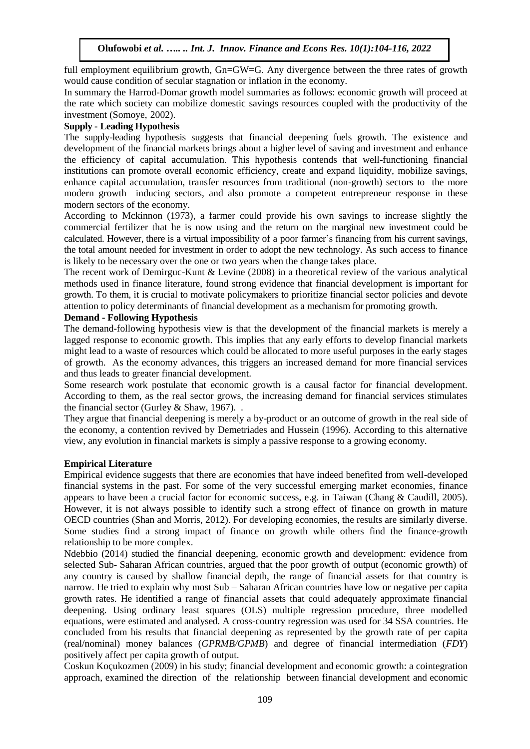full employment equilibrium growth, Gn=GW=G. Any divergence between the three rates of growth would cause condition of secular stagnation or inflation in the economy.

In summary the Harrod-Domar growth model summaries as follows: economic growth will proceed at the rate which society can mobilize domestic savings resources coupled with the productivity of the investment (Somoye, 2002).

#### **Supply - Leading Hypothesis**

The supply-leading hypothesis suggests that financial deepening fuels growth. The existence and development of the financial markets brings about a higher level of saving and investment and enhance the efficiency of capital accumulation. This hypothesis contends that well-functioning financial institutions can promote overall economic efficiency, create and expand liquidity, mobilize savings, enhance capital accumulation, transfer resources from traditional (non-growth) sectors to the more modern growth inducing sectors, and also promote a competent entrepreneur response in these modern sectors of the economy.

According to Mckinnon (1973), a farmer could provide his own savings to increase slightly the commercial fertilizer that he is now using and the return on the marginal new investment could be calculated. However, there is a virtual impossibility of a poor farmer's financing from his current savings, the total amount needed for investment in order to adopt the new technology. As such access to finance is likely to be necessary over the one or two years when the change takes place.

The recent work of Demirguc-Kunt & Levine (2008) in a theoretical review of the various analytical methods used in finance literature, found strong evidence that financial development is important for growth. To them, it is crucial to motivate policymakers to prioritize financial sector policies and devote attention to policy determinants of financial development as a mechanism for promoting growth.

#### **Demand - Following Hypothesis**

The demand-following hypothesis view is that the development of the financial markets is merely a lagged response to economic growth. This implies that any early efforts to develop financial markets might lead to a waste of resources which could be allocated to more useful purposes in the early stages of growth. As the economy advances, this triggers an increased demand for more financial services and thus leads to greater financial development.

Some research work postulate that economic growth is a causal factor for financial development. According to them, as the real sector grows, the increasing demand for financial services stimulates the financial sector (Gurley & Shaw, 1967). .

They argue that financial deepening is merely a by-product or an outcome of growth in the real side of the economy, a contention revived by Demetriades and Hussein (1996). According to this alternative view, any evolution in financial markets is simply a passive response to a growing economy.

#### **Empirical Literature**

Empirical evidence suggests that there are economies that have indeed benefited from well-developed financial systems in the past. For some of the very successful emerging market economies, finance appears to have been a crucial factor for economic success, e.g. in Taiwan (Chang & Caudill, 2005). However, it is not always possible to identify such a strong effect of finance on growth in mature OECD countries (Shan and Morris, 2012). For developing economies, the results are similarly diverse. Some studies find a strong impact of finance on growth while others find the finance-growth relationship to be more complex.

Ndebbio (2014) studied the financial deepening, economic growth and development: evidence from selected Sub- Saharan African countries, argued that the poor growth of output (economic growth) of any country is caused by shallow financial depth, the range of financial assets for that country is narrow. He tried to explain why most Sub – Saharan African countries have low or negative per capita growth rates. He identified a range of financial assets that could adequately approximate financial deepening. Using ordinary least squares (OLS) multiple regression procedure, three modelled equations, were estimated and analysed. A cross-country regression was used for 34 SSA countries. He concluded from his results that financial deepening as represented by the growth rate of per capita (real/nominal) money balances (*GPRMB/GPMB*) and degree of financial intermediation (*FDY*) positively affect per capita growth of output.

Coskun Koçukozmen (2009) in his study; financial development and economic growth: a cointegration approach, examined the direction of the relationship between financial development and economic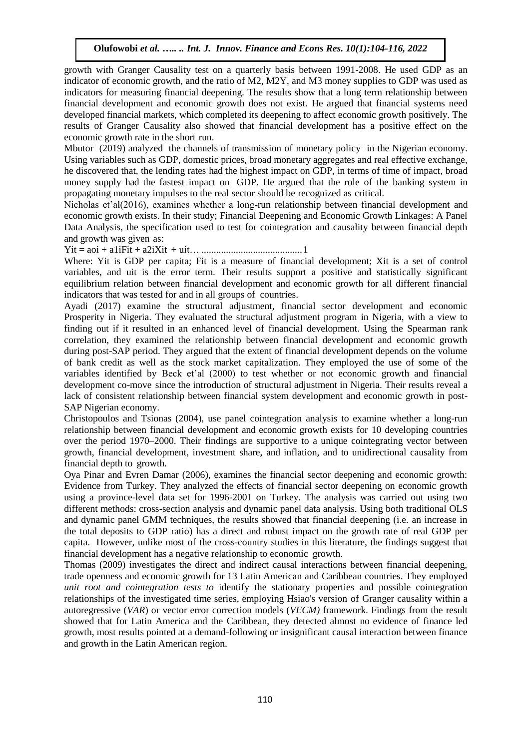growth with Granger Causality test on a quarterly basis between 1991-2008. He used GDP as an indicator of economic growth, and the ratio of M2, M2Y, and M3 money supplies to GDP was used as indicators for measuring financial deepening. The results show that a long term relationship between financial development and economic growth does not exist. He argued that financial systems need developed financial markets, which completed its deepening to affect economic growth positively. The results of Granger Causality also showed that financial development has a positive effect on the economic growth rate in the short run.

Mbutor (2019) analyzed the channels of transmission of monetary policy in the Nigerian economy. Using variables such as GDP, domestic prices, broad monetary aggregates and real effective exchange, he discovered that, the lending rates had the highest impact on GDP, in terms of time of impact, broad money supply had the fastest impact on GDP. He argued that the role of the banking system in propagating monetary impulses to the real sector should be recognized as critical.

Nicholas et'al(2016), examines whether a long-run relationship between financial development and economic growth exists. In their study; Financial Deepening and Economic Growth Linkages: A Panel Data Analysis, the specification used to test for cointegration and causality between financial depth and growth was given as:

Yit = aoi + a1iFit + a2iXit + uit… .........................................1

Where: Yit is GDP per capita; Fit is a measure of financial development; Xit is a set of control variables, and uit is the error term. Their results support a positive and statistically significant equilibrium relation between financial development and economic growth for all different financial indicators that was tested for and in all groups of countries.

Ayadi (2017) examine the structural adjustment, financial sector development and economic Prosperity in Nigeria. They evaluated the structural adjustment program in Nigeria, with a view to finding out if it resulted in an enhanced level of financial development. Using the Spearman rank correlation, they examined the relationship between financial development and economic growth during post-SAP period. They argued that the extent of financial development depends on the volume of bank credit as well as the stock market capitalization. They employed the use of some of the variables identified by Beck et'al (2000) to test whether or not economic growth and financial development co-move since the introduction of structural adjustment in Nigeria. Their results reveal a lack of consistent relationship between financial system development and economic growth in post-SAP Nigerian economy.

Christopoulos and Tsionas (2004), use panel cointegration analysis to examine whether a long-run relationship between financial development and economic growth exists for 10 developing countries over the period 1970–2000. Their findings are supportive to a unique cointegrating vector between growth, financial development, investment share, and inflation, and to unidirectional causality from financial depth to growth.

Oya Pinar and Evren Damar (2006), examines the financial sector deepening and economic growth: Evidence from Turkey. They analyzed the effects of financial sector deepening on economic growth using a province-level data set for 1996-2001 on Turkey. The analysis was carried out using two different methods: cross-section analysis and dynamic panel data analysis. Using both traditional OLS and dynamic panel GMM techniques, the results showed that financial deepening (i.e. an increase in the total deposits to GDP ratio) has a direct and robust impact on the growth rate of real GDP per capita. However, unlike most of the cross-country studies in this literature, the findings suggest that financial development has a negative relationship to economic growth.

Thomas (2009) investigates the direct and indirect causal interactions between financial deepening, trade openness and economic growth for 13 Latin American and Caribbean countries. They employed *unit root and cointegration tests to* identify the stationary properties and possible cointegration relationships of the investigated time series, employing Hsiao's version of Granger causality within a autoregressive (*VAR*) or vector error correction models (*VECM)* framework. Findings from the result showed that for Latin America and the Caribbean, they detected almost no evidence of finance led growth, most results pointed at a demand-following or insignificant causal interaction between finance and growth in the Latin American region.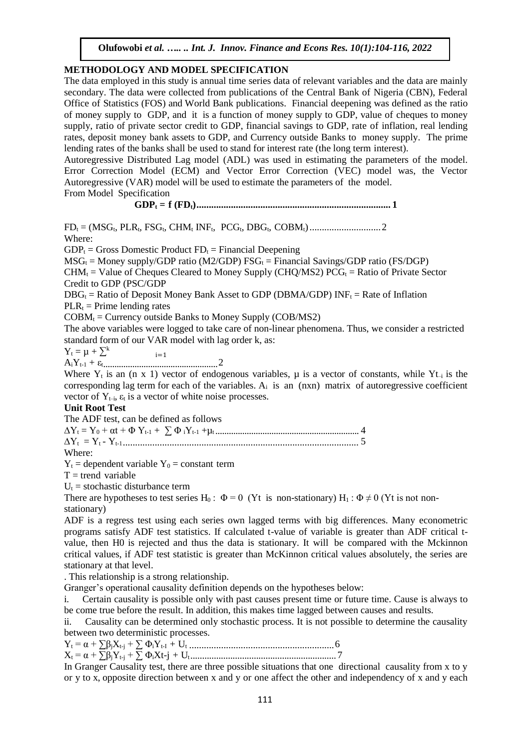#### **METHODOLOGY AND MODEL SPECIFICATION**

The data employed in this study is annual time series data of relevant variables and the data are mainly secondary. The data were collected from publications of the Central Bank of Nigeria (CBN), Federal Office of Statistics (FOS) and World Bank publications. Financial deepening was defined as the ratio of money supply to GDP, and it is a function of money supply to GDP, value of cheques to money supply, ratio of private sector credit to GDP, financial savings to GDP, rate of inflation, real lending rates, deposit money bank assets to GDP, and Currency outside Banks to money supply. The prime lending rates of the banks shall be used to stand for interest rate (the long term interest).

Autoregressive Distributed Lag model (ADL) was used in estimating the parameters of the model. Error Correction Model (ECM) and Vector Error Correction (VEC) model was, the Vector Autoregressive (VAR) model will be used to estimate the parameters of the model.

From Model Specification

**GDP<sup>t</sup> = f (FDt)............................................................................... 1**

FD<sup>t</sup> = (MSGt, PLRt, FSGt, CHM<sup>t</sup> INFt, PCGt, DBGt, COBMt).............................2 Where:

 $GDP_t = Gross$  Domestic Product  $FD_t = Financial$  Deepening

 $MSG_t = \text{Money supply/GDP ratio (M2/GDP) FSG_t} = \text{Financial Savings/GDP ratio (FS/DGP)}$ 

 $CHM_t =$  Value of Cheques Cleared to Money Supply (CHO/MS2)  $PCG_t =$  Ratio of Private Sector Credit to GDP (PSC/GDP

 $DBG_t$  = Ratio of Deposit Money Bank Asset to GDP (DBMA/GDP)  $INF_t$  = Rate of Inflation

 $PLR_t$  = Prime lending rates

 $COBM_t =$  Currency outside Banks to Money Supply ( $COB/MS2$ )

The above variables were logged to take care of non-linear phenomena. Thus, we consider a restricted standard form of our VAR model with lag order k, as:

 $i=1$  $Y_t = \mu + \sum^k$ 

AiYt-1 + εt...................................................2

Where  $Y_t$  is an (n x 1) vector of endogenous variables,  $\mu$  is a vector of constants, while  $Y_{t-1}$  is the corresponding lag term for each of the variables.  $A_i$  is an  $(nxn)$  matrix of autoregressive coefficient vector of  $Y_{t-i}$ ,  $\varepsilon_t$  is a vector of white noise processes.

## **Unit Root Test**

The ADF test, can be defined as follows

∆Y<sup>t</sup> = Y<sup>0</sup> + αt + Φ Yt-1 + ∑ Φ <sup>i</sup>Yt-1 +µ<sup>t</sup> ................................................................ 4 ∆Yt = Y<sup>t</sup> - Yt-1................................................................................................ 5 Where:

 $Y_t$  = dependent variable  $Y_0$  = constant term

 $T =$ trend variable

 $U_t$  = stochastic disturbance term

There are hypotheses to test series H<sub>0</sub>:  $\Phi = 0$  (Yt is non-stationary) H<sub>1</sub>:  $\Phi \neq 0$  (Yt is not nonstationary)

ADF is a regress test using each series own lagged terms with big differences. Many econometric programs satisfy ADF test statistics. If calculated t-value of variable is greater than ADF critical tvalue, then H0 is rejected and thus the data is stationary. It will be compared with the Mckinnon critical values, if ADF test statistic is greater than McKinnon critical values absolutely, the series are stationary at that level.

. This relationship is a strong relationship.

Granger's operational causality definition depends on the hypotheses below:

i. Certain causality is possible only with past causes present time or future time. Cause is always to be come true before the result. In addition, this makes time lagged between causes and results.

ii. Causality can be determined only stochastic process. It is not possible to determine the causality between two deterministic processes.

Y<sup>t</sup> = α + ∑βjXt-j + ∑ ΦiYt-I + U<sup>t</sup> ...........................................................6 X<sup>t</sup> = α + ∑βjYt-j + ∑ ΦiXt-j + Ut.............................................................. 7

In Granger Causality test, there are three possible situations that one directional causality from x to y or y to x, opposite direction between x and y or one affect the other and independency of x and y each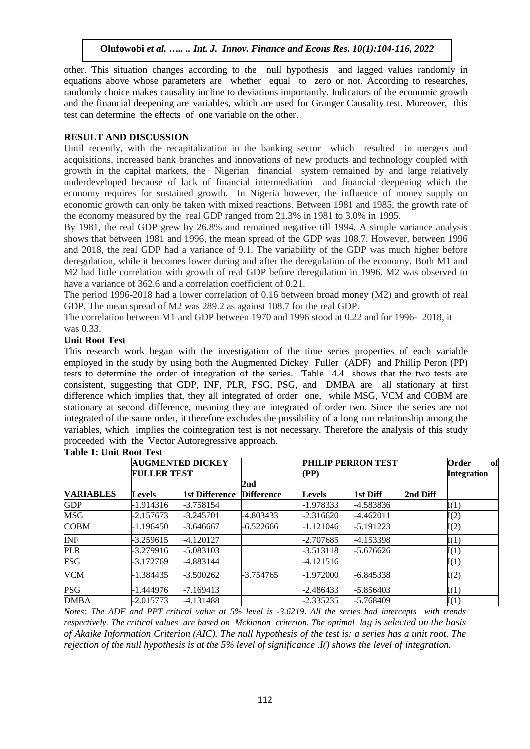other. This situation changes according to the null hypothesis and lagged values randomly in equations above whose parameters are whether equal to zero or not. According to researches, randomly choice makes causality incline to deviations importantly. Indicators of the economic growth and the financial deepening are variables, which are used for Granger Causality test. Moreover, this test can determine the effects of one variable on the other.

#### **RESULT AND DISCUSSION**

Until recently, with the recapitalization in the banking sector which resulted in mergers and acquisitions, increased bank branches and innovations of new products and technology coupled with growth in the capital markets, the Nigerian financial system remained by and large relatively underdeveloped because of lack of financial intermediation and financial deepening which the economy requires for sustained growth. In Nigeria however, the influence of money supply on economic growth can only be taken with mixed reactions. Between 1981 and 1985, the growth rate of the economy measured by the real GDP ranged from 21.3% in 1981 to 3.0% in 1995.

By 1981, the real GDP grew by 26.8% and remained negative till 1994. A simple variance analysis shows that between 1981 and 1996, the mean spread of the GDP was 108.7. However, between 1996 and 2018, the real GDP had a variance of 9.1. The variability of the GDP was much higher before deregulation, while it becomes lower during and after the deregulation of the economy. Both M1 and M2 had little correlation with growth of real GDP before deregulation in 1996. M2 was observed to have a variance of 362.6 and a correlation coefficient of 0.21.

The period 1996-2018 had a lower correlation of 0.16 between broad money (M2) and growth of real GDP. The mean spread of M2 was 289.2 as against 108.7 for the real GDP.

The correlation between M1 and GDP between 1970 and 1996 stood at 0.22 and for 1996- 2018, it was 0.33.

#### **Unit Root Test**

This research work began with the investigation of the time series properties of each variable employed in the study by using both the Augmented Dickey Fuller (ADF) and Phillip Peron (PP) tests to determine the order of integration of the series. Table 4.4 shows that the two tests are consistent, suggesting that GDP, INF, PLR, FSG, PSG, and DMBA are all stationary at first difference which implies that, they all integrated of order one, while MSG, VCM and COBM are stationary at second difference, meaning they are integrated of order two. Since the series are not integrated of the same order, it therefore excludes the possibility of a long run relationship among the variables, which implies the cointegration test is not necessary. Therefore the analysis of this study proceeded with the Vector Autoregressive approach.

| <b>VARIABLES</b> | <b>FULLER TEST</b> | <b>AUGMENTED DICKEY</b> |                                      | PHILIP PERRON TEST<br>(PP) |             |          | Order<br>of<br><b>Integration</b> |
|------------------|--------------------|-------------------------|--------------------------------------|----------------------------|-------------|----------|-----------------------------------|
|                  | <b>Levels</b>      | 1st Difference          | 2 <sub>nd</sub><br><b>Difference</b> | <b>Levels</b>              | 1st Diff    | 2nd Diff |                                   |
| <b>GDP</b>       | -1.914316          | -3.758154               |                                      | -1.978333                  | -4.583836   |          | I(1)                              |
| <b>MSG</b>       | $-2.157673$        | -3.245701               | -4.803433                            | $-2.316620$                | -4.462011   |          | I(2)                              |
| <b>COBM</b>      | $-1.196450$        | -3.646667               | -6.522666                            | -1.121046                  | $-5.191223$ |          | I(2)                              |
| <b>INF</b>       | $-3.259615$        | $-4.120127$             |                                      | $-2.707685$                | -4.153398   |          | I(1)                              |
| <b>PLR</b>       | -3.279916          | -5.083103               |                                      | -3.513118                  | -5.676626   |          | I(1)                              |
| FSG              | -3.172769          | -4.883144               |                                      | -4.121516                  |             |          | I(1)                              |
| <b>VCM</b>       | -1.384435          | $-3.500262$             | -3.754765                            | $-1.972000$                | $-6.845338$ |          | I(2)                              |
| <b>PSG</b>       | -1.444976          | $-7.169413$             |                                      | $-2.486433$                | -5.856403   |          | I(1)                              |
| <b>DMBA</b>      | -2.015773          | $-4.131488$             |                                      | $-2.335235$                | -5.768409   |          | I(1)                              |

**Table 1: Unit Root Test**

*Notes: The ADF and PPT critical value at 5% level is -3.6219*. *All the series had intercepts with trends respectively. The critical values are based on Mckinnon criterion. The optimal lag is selected on the basis of Akaike Information Criterion (AIC). The null hypothesis of the test is: a series has a unit root. The rejection of the null hypothesis is at the 5% level of significance .I() shows the level of integration.*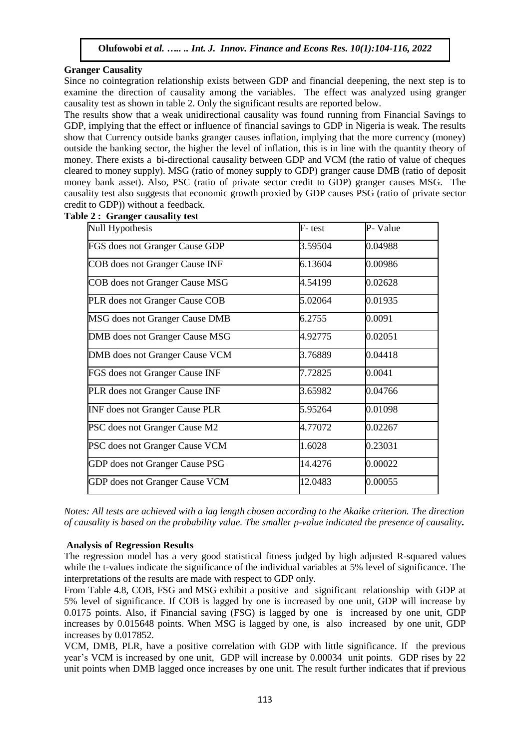#### **Granger Causality**

Since no cointegration relationship exists between GDP and financial deepening, the next step is to examine the direction of causality among the variables. The effect was analyzed using granger causality test as shown in table 2. Only the significant results are reported below.

The results show that a weak unidirectional causality was found running from Financial Savings to GDP, implying that the effect or influence of financial savings to GDP in Nigeria is weak. The results show that Currency outside banks granger causes inflation, implying that the more currency (money) outside the banking sector, the higher the level of inflation, this is in line with the quantity theory of money. There exists a bi-directional causality between GDP and VCM (the ratio of value of cheques cleared to money supply). MSG (ratio of money supply to GDP) granger cause DMB (ratio of deposit money bank asset). Also, PSC (ratio of private sector credit to GDP) granger causes MSG. The causality test also suggests that economic growth proxied by GDP causes PSG (ratio of private sector credit to GDP)) without a feedback.

Null Hypothesis **F**- test **P**- Value FGS does not Granger Cause GDP 3.59504 0.04988  $COB$  does not Granger Cause INF  $6.13604$  0.00986  $COB$  does not Granger Cause MSG  $4.54199$   $0.02628$ PLR does not Granger Cause COB 5.02064 0.01935  $MSG$  does not Granger Cause DMB  $6.2755$  0.0091 DMB does not Granger Cause MSG 4.92775 0.02051 DMB does not Granger Cause VCM 3.76889 0.04418 FGS does not Granger Cause INF 7.72825 0.0041 PLR does not Granger Cause INF 3.65982 0.04766 INF does not Granger Cause PLR 5.95264 0.01098 PSC does not Granger Cause M2 4.77072 0.02267 PSC does not Granger Cause VCM 1.6028 0.23031 GDP does not Granger Cause PSG 14.4276 0.00022 GDP does not Granger Cause VCM 12.0483 0.00055

**Table 2 : Granger causality test**

*Notes: All tests are achieved with a lag length chosen according to the Akaike criterion. The direction of causality is based on the probability value. The smaller p-value indicated the presence of causality***.**

#### **Analysis of Regression Results**

The regression model has a very good statistical fitness judged by high adjusted R-squared values while the t-values indicate the significance of the individual variables at 5% level of significance. The interpretations of the results are made with respect to GDP only.

From Table 4.8, COB, FSG and MSG exhibit a positive and significant relationship with GDP at 5% level of significance. If COB is lagged by one is increased by one unit, GDP will increase by 0.0175 points. Also, if Financial saving (FSG) is lagged by one is increased by one unit, GDP increases by 0.015648 points. When MSG is lagged by one, is also increased by one unit, GDP increases by 0.017852.

VCM, DMB, PLR, have a positive correlation with GDP with little significance. If the previous year's VCM is increased by one unit, GDP will increase by 0.00034 unit points. GDP rises by 22 unit points when DMB lagged once increases by one unit. The result further indicates that if previous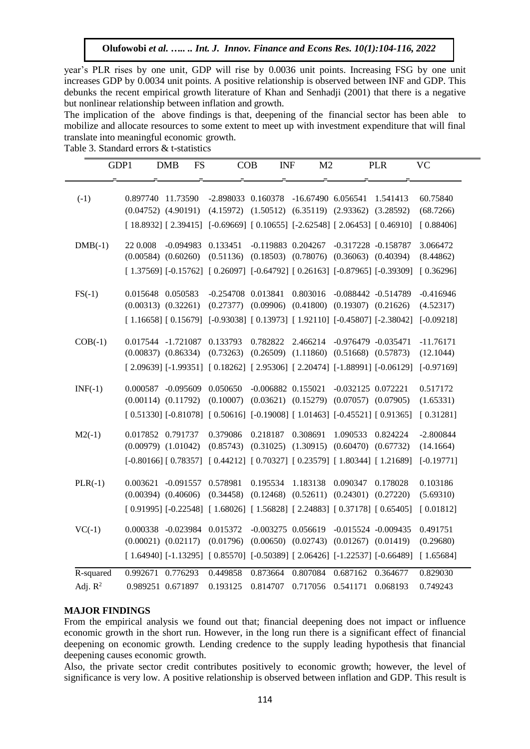year's PLR rises by one unit, GDP will rise by 0.0036 unit points. Increasing FSG by one unit increases GDP by 0.0034 unit points. A positive relationship is observed between INF and GDP. This debunks the recent empirical growth literature of Khan and Senhadji (2001) that there is a negative but nonlinear relationship between inflation and growth.

The implication of the above findings is that, deepening of the financial sector has been able to mobilize and allocate resources to some extent to meet up with investment expenditure that will final translate into meaningful economic growth.

Table 3. Standard errors & t-statistics

| GDP1       |                   | <b>DMB</b><br><b>FS</b>                                                                | COB                  | <b>INF</b>                                                  | M <sub>2</sub>       |                                                 | <b>PLR</b> | VC           |
|------------|-------------------|----------------------------------------------------------------------------------------|----------------------|-------------------------------------------------------------|----------------------|-------------------------------------------------|------------|--------------|
|            |                   |                                                                                        |                      |                                                             |                      |                                                 |            |              |
| $(-1)$     | 0.897740 11.73590 |                                                                                        | -2.898033 0.160378   |                                                             | -16.67490 6.056541   |                                                 | 1.541413   | 60.75840     |
|            |                   | $(0.04752)$ $(4.90191)$                                                                |                      | $(4.15972)$ $(1.50512)$ $(6.35119)$ $(2.93362)$ $(3.28592)$ |                      |                                                 |            | (68.7266)    |
|            |                   | $[18.8932]$ $[2.39415]$ $[-0.69669]$ $[0.10655]$ $[-2.62548]$ $[2.06453]$ $[0.46910]$  |                      |                                                             |                      |                                                 |            | [0.88406]    |
| $DMB(-1)$  | 22 0.008          | $-0.094983$                                                                            | 0.133451             |                                                             | $-0.119883$ 0.204267 | -0.317228 -0.158787                             |            | 3.066472     |
|            |                   | $(0.00584)$ $(0.60260)$                                                                | (0.51136)            |                                                             |                      | $(0.18503)$ $(0.78076)$ $(0.36063)$ $(0.40394)$ |            | (8.44862)    |
|            |                   | $[1.37569] [-0.15762] [0.26097] [-0.64792] [0.26163] [-0.87965] [-0.39309]$            |                      |                                                             |                      |                                                 |            | [0.36296]    |
| $FS(-1)$   | 0.015648 0.050583 |                                                                                        | $-0.254708$ 0.013841 |                                                             | 0.803016             | $-0.088442 - 0.514789$                          |            | $-0.416946$  |
|            |                   | $(0.00313)$ $(0.32261)$                                                                |                      | $(0.27377)$ $(0.09906)$ $(0.41800)$ $(0.19307)$ $(0.21626)$ |                      |                                                 |            | (4.52317)    |
|            |                   | $[1.16658]$ $[0.15679]$ $[-0.93038]$ $[0.13973]$ $[1.92110]$ $[-0.45807]$ $[-2.38042]$ |                      |                                                             |                      |                                                 |            | $[-0.09218]$ |
| $COB(-1)$  |                   | 0.017544 -1.721087                                                                     | 0.133793             | 0.782822                                                    | 2.466214             | -0.976479 -0.035471                             |            | $-11.76171$  |
|            |                   | $(0.00837)$ $(0.86334)$                                                                | (0.73263)            |                                                             |                      | $(0.26509)$ $(1.11860)$ $(0.51668)$ $(0.57873)$ |            | (12.1044)    |
|            |                   | [2.09639] [-1.99351] [0.18262] [2.95306] [2.20474] [-1.88991] [-0.06129]               |                      |                                                             |                      |                                                 |            | $[-0.97169]$ |
| $INF(-1)$  |                   | 0.000587 -0.095609                                                                     | 0.050650             | $-0.006882$ $0.155021$                                      |                      | $-0.032125$ $0.072221$                          |            | 0.517172     |
|            |                   | $(0.00114)$ $(0.11792)$                                                                | (0.10007)            |                                                             |                      | $(0.03621)$ $(0.15279)$ $(0.07057)$ $(0.07905)$ |            | (1.65331)    |
|            |                   | $[0.51330]$ [-0.81078] $[0.50616]$ [-0.19008] [1.01463] [-0.45521] [0.91365]           |                      |                                                             |                      |                                                 |            | [0.31281]    |
| $M2(-1)$   | 0.017852 0.791737 |                                                                                        | 0.379086             | 0.218187                                                    | 0.308691             | 1.090533                                        | 0.824224   | $-2.800844$  |
|            |                   | $(0.00979)$ $(1.01042)$                                                                | (0.85743)            |                                                             |                      | $(0.31025)$ $(1.30915)$ $(0.60470)$ $(0.67732)$ |            | (14.1664)    |
|            |                   | $[-0.80166] [ 0.78357] [ 0.44212] [ 0.70327] [ 0.23579] [ 1.80344] [ 1.21689]$         |                      |                                                             |                      |                                                 |            | $[-0.19771]$ |
| $PLR(-1)$  | 0.003621          | $-0.091557$                                                                            | 0.578981             | 0.195534                                                    | 1.183138             | 0.090347                                        | 0.178028   | 0.103186     |
|            |                   | $(0.00394)$ $(0.40606)$                                                                | (0.34458)            |                                                             |                      | $(0.12468)$ $(0.52611)$ $(0.24301)$ $(0.27220)$ |            | (5.69310)    |
|            |                   | $[0.91995] [-0.22548] [1.68026] [1.56828] [2.24883] [0.37178] [0.65405]$               |                      |                                                             |                      |                                                 |            | [0.01812]    |
| $VC(-1)$   |                   | 0.000338 -0.023984                                                                     | 0.015372             | $-0.003275$ 0.056619                                        |                      | $-0.015524 - 0.009435$                          |            | 0.491751     |
|            |                   | $(0.00021)$ $(0.02117)$                                                                | (0.01796)            |                                                             |                      | $(0.00650)$ $(0.02743)$ $(0.01267)$ $(0.01419)$ |            | (0.29680)    |
|            |                   | $[1.64940]$ [-1.13295] $[0.85570]$ [-0.50389] $[2.06426]$ [-1.22537] [-0.66489]        |                      |                                                             |                      |                                                 |            | [1.65684]    |
| R-squared  | 0.992671 0.776293 |                                                                                        | 0.449858             | 0.873664                                                    | 0.807084             | 0.687162                                        | 0.364677   | 0.829030     |
| Adj. $R^2$ | 0.989251 0.671897 |                                                                                        | 0.193125             | 0.814707                                                    | 0.717056 0.541171    |                                                 | 0.068193   | 0.749243     |

#### **MAJOR FINDINGS**

From the empirical analysis we found out that; financial deepening does not impact or influence economic growth in the short run. However, in the long run there is a significant effect of financial deepening on economic growth. Lending credence to the supply leading hypothesis that financial deepening causes economic growth.

Also, the private sector credit contributes positively to economic growth; however, the level of significance is very low. A positive relationship is observed between inflation and GDP. This result is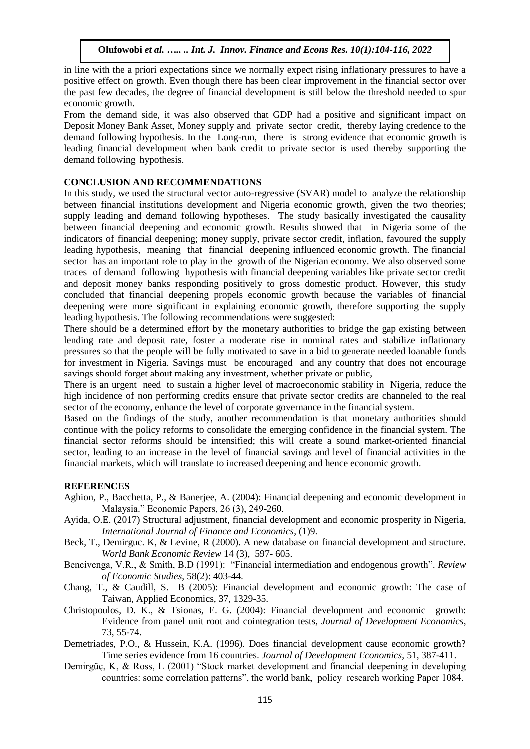in line with the a priori expectations since we normally expect rising inflationary pressures to have a positive effect on growth. Even though there has been clear improvement in the financial sector over the past few decades, the degree of financial development is still below the threshold needed to spur economic growth.

From the demand side, it was also observed that GDP had a positive and significant impact on Deposit Money Bank Asset, Money supply and private sector credit, thereby laying credence to the demand following hypothesis. In the Long-run, there is strong evidence that economic growth is leading financial development when bank credit to private sector is used thereby supporting the demand following hypothesis.

#### **CONCLUSION AND RECOMMENDATIONS**

In this study, we used the structural vector auto-regressive (SVAR) model to analyze the relationship between financial institutions development and Nigeria economic growth, given the two theories; supply leading and demand following hypotheses. The study basically investigated the causality between financial deepening and economic growth. Results showed that in Nigeria some of the indicators of financial deepening; money supply, private sector credit, inflation, favoured the supply leading hypothesis, meaning that financial deepening influenced economic growth. The financial sector has an important role to play in the growth of the Nigerian economy. We also observed some traces of demand following hypothesis with financial deepening variables like private sector credit and deposit money banks responding positively to gross domestic product. However, this study concluded that financial deepening propels economic growth because the variables of financial deepening were more significant in explaining economic growth, therefore supporting the supply leading hypothesis. The following recommendations were suggested:

There should be a determined effort by the monetary authorities to bridge the gap existing between lending rate and deposit rate, foster a moderate rise in nominal rates and stabilize inflationary pressures so that the people will be fully motivated to save in a bid to generate needed loanable funds for investment in Nigeria. Savings must be encouraged and any country that does not encourage savings should forget about making any investment, whether private or public,

There is an urgent need to sustain a higher level of macroeconomic stability in Nigeria, reduce the high incidence of non performing credits ensure that private sector credits are channeled to the real sector of the economy, enhance the level of corporate governance in the financial system.

Based on the findings of the study, another recommendation is that monetary authorities should continue with the policy reforms to consolidate the emerging confidence in the financial system. The financial sector reforms should be intensified; this will create a sound market-oriented financial sector, leading to an increase in the level of financial savings and level of financial activities in the financial markets, which will translate to increased deepening and hence economic growth.

#### **REFERENCES**

- Aghion, P., Bacchetta, P., & Banerjee, A. (2004): Financial deepening and economic development in Malaysia." Economic Papers, 26 (3), 249-260.
- Ayida, O.E. (2017) Structural adjustment, financial development and economic prosperity in Nigeria, *International Journal of Finance and Economics*, (1)9.
- Beck, T., Demirguc. K, & Levine, R (2000). A new database on financial development and structure. *World Bank Economic Review* 14 (3), 597- 605.
- Bencivenga, V.R., & Smith, B.D (1991): "Financial intermediation and endogenous growth". *Review of Economic Studies*, 58(2): 403-44.
- Chang, T., & Caudill, S. B (2005): Financial development and economic growth: The case of Taiwan, Applied Economics, 37, 1329-35.
- Christopoulos, D. K., & Tsionas, E. G. (2004): Financial development and economic growth: Evidence from panel unit root and cointegration tests*, Journal of Development Economics*, 73, 55-74.
- Demetriades, P.O., & Hussein, K.A. (1996). Does financial development cause economic growth? Time series evidence from 16 countries. *Journal of Development Economics*, 51, 387-411.
- Demirgüç, K, & Ross, L (2001) "Stock market development and financial deepening in developing countries: some correlation patterns", the world bank, policy research working Paper 1084.